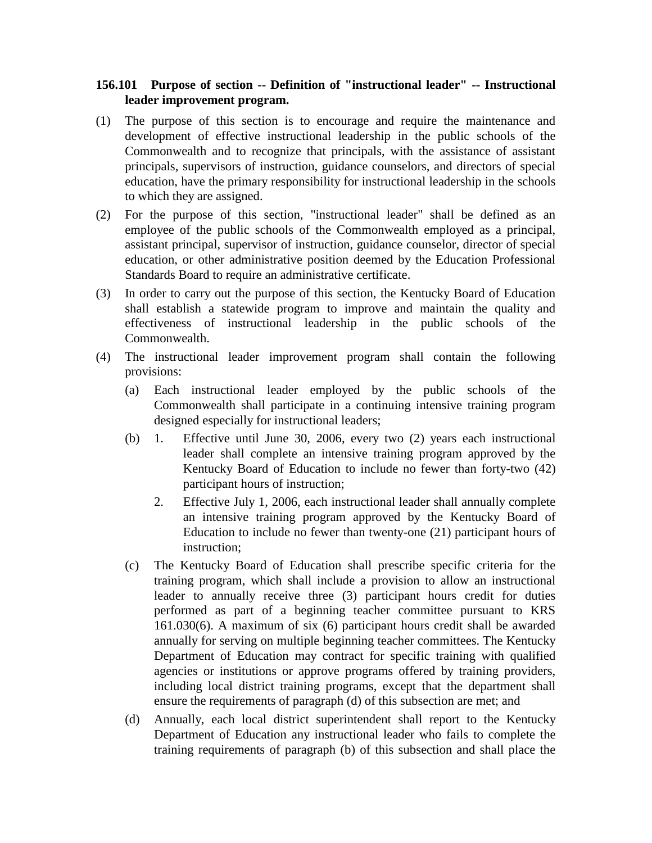## **156.101 Purpose of section -- Definition of "instructional leader" -- Instructional leader improvement program.**

- (1) The purpose of this section is to encourage and require the maintenance and development of effective instructional leadership in the public schools of the Commonwealth and to recognize that principals, with the assistance of assistant principals, supervisors of instruction, guidance counselors, and directors of special education, have the primary responsibility for instructional leadership in the schools to which they are assigned.
- (2) For the purpose of this section, "instructional leader" shall be defined as an employee of the public schools of the Commonwealth employed as a principal, assistant principal, supervisor of instruction, guidance counselor, director of special education, or other administrative position deemed by the Education Professional Standards Board to require an administrative certificate.
- (3) In order to carry out the purpose of this section, the Kentucky Board of Education shall establish a statewide program to improve and maintain the quality and effectiveness of instructional leadership in the public schools of the Commonwealth.
- (4) The instructional leader improvement program shall contain the following provisions:
	- (a) Each instructional leader employed by the public schools of the Commonwealth shall participate in a continuing intensive training program designed especially for instructional leaders;
	- (b) 1. Effective until June 30, 2006, every two (2) years each instructional leader shall complete an intensive training program approved by the Kentucky Board of Education to include no fewer than forty-two (42) participant hours of instruction;
		- 2. Effective July 1, 2006, each instructional leader shall annually complete an intensive training program approved by the Kentucky Board of Education to include no fewer than twenty-one (21) participant hours of instruction;
	- (c) The Kentucky Board of Education shall prescribe specific criteria for the training program, which shall include a provision to allow an instructional leader to annually receive three (3) participant hours credit for duties performed as part of a beginning teacher committee pursuant to KRS 161.030(6). A maximum of six (6) participant hours credit shall be awarded annually for serving on multiple beginning teacher committees. The Kentucky Department of Education may contract for specific training with qualified agencies or institutions or approve programs offered by training providers, including local district training programs, except that the department shall ensure the requirements of paragraph (d) of this subsection are met; and
	- (d) Annually, each local district superintendent shall report to the Kentucky Department of Education any instructional leader who fails to complete the training requirements of paragraph (b) of this subsection and shall place the